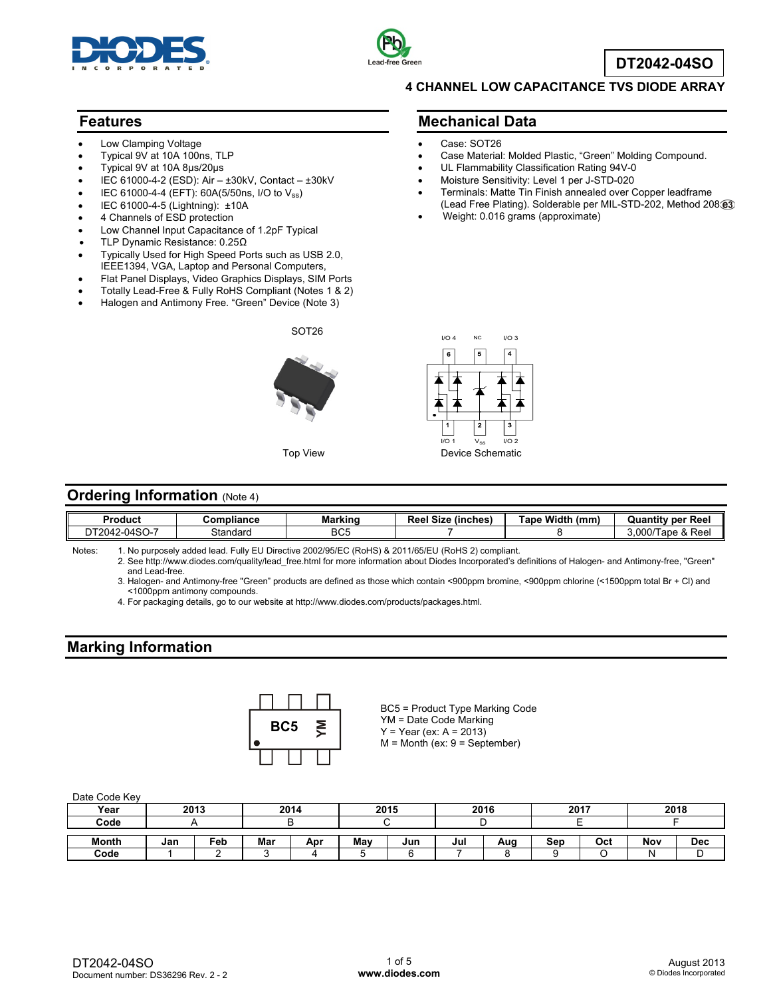



**DT2042-04SO**

#### **Features**

- Low Clamping Voltage
- Typical 9V at 10A 100ns, TLP
- Typical 9V at 10A 8μs/20μs
- IEC 61000-4-2 (ESD): Air ±30kV, Contact ±30kV
- IEC 61000-4-4 (EFT): 60A(5/50ns, I/O to Vss)
- IEC 61000-4-5 (Lightning): ±10A
- 4 Channels of ESD protection
- Low Channel Input Capacitance of 1.2pF Typical
- TLP Dynamic Resistance: 0.25Ω
- Typically Used for High Speed Ports such as USB 2.0, IEEE1394, VGA, Laptop and Personal Computers,
- Flat Panel Displays, Video Graphics Displays, SIM Ports
- Totally Lead-Free & Fully RoHS Compliant (Notes 1 & 2)
- Halogen and Antimony Free. "Green" Device (Note 3)



#### **4 CHANNEL LOW CAPACITANCE TVS DIODE ARRAY**

#### **Mechanical Data**

- Case: SOT26
- Case Material: Molded Plastic, "Green" Molding Compound.
- UL Flammability Classification Rating 94V-0
- Moisture Sensitivity: Level 1 per J-STD-020
- Terminals: Matte Tin Finish annealed over Copper leadframe (Lead Free Plating). Solderable per MIL-STD-202, Method 208
- Weight: 0.016 grams (approximate)



#### **Ordering Information (Note 4)**

| Produci                  | npliance<br>٠om | <b>Marking</b>  | $\sim$<br>$\sim$<br>Size<br>∈(inches<br>Reel | <b>Width</b><br>(mm<br>ape | per<br>Ree<br>Quantitv                                     |
|--------------------------|-----------------|-----------------|----------------------------------------------|----------------------------|------------------------------------------------------------|
| $-04SO-7$<br>.2042-<br>◡ | Standard        | BC <sub>5</sub> |                                              |                            | .000/T<br>$\Omega$<br>ape<br>$\sim$<br>Ree<br>$\mathbf{X}$ |

Notes: 1. No purposely added lead. Fully EU Directive 2002/95/EC (RoHS) & 2011/65/EU (RoHS 2) compliant.

 2. See http://www.diodes.com/quality/lead\_free.html for more information about Diodes Incorporated's definitions of Halogen- and Antimony-free, "Green" and Lead-free.

 3. Halogen- and Antimony-free "Green" products are defined as those which contain <900ppm bromine, <900ppm chlorine (<1500ppm total Br + Cl) and <1000ppm antimony compounds.

4. For packaging details, go to our website at http://www.diodes.com/products/packages.html.

## **Marking Information**



BC5 = Product Type Marking Code YM = Date Code Marking  $Y = Year (ex: A = 2013)$  $M =$  Month (ex:  $9 =$  September)

#### Date Code Key

| Year         | 2013 |     | 2014 |     | 2015 |     | 2016 |     | 2017 |     | 2018 |     |
|--------------|------|-----|------|-----|------|-----|------|-----|------|-----|------|-----|
| Code         |      |     |      |     |      |     |      |     |      |     |      |     |
| <b>Month</b> | Jan  | Feb | Mar  | Apr | Mav  | Jun | Jul  | Aug | Sep  | Oct | Nov  | Dec |
| Code         |      |     |      |     |      |     |      |     |      |     |      | ◡   |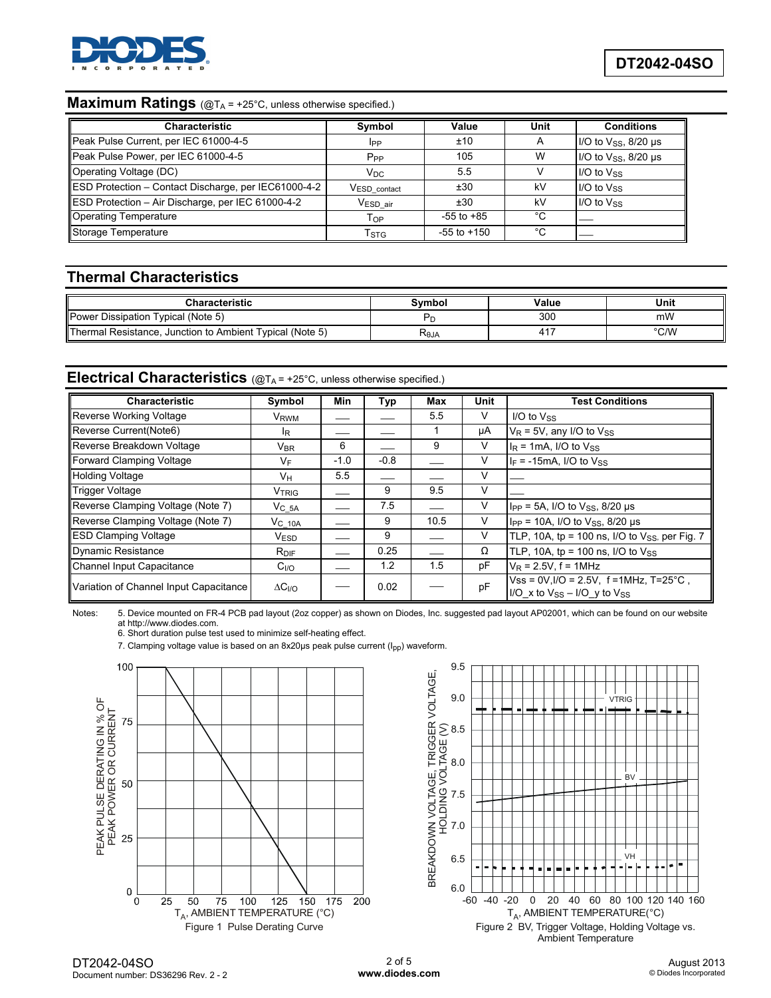

### **Maximum Ratings** (@T<sub>A</sub> = +25°C, unless otherwise specified.)

| <b>Characteristic</b>                                | Symbol                   | Value           | Unit | <b>Conditions</b>                         |
|------------------------------------------------------|--------------------------|-----------------|------|-------------------------------------------|
| Peak Pulse Current, per IEC 61000-4-5                | IPP                      | ±10             |      | $1/O$ to $V_{SS}$ , $8/20 \mu s$          |
| Peak Pulse Power, per IEC 61000-4-5                  | P <sub>PP</sub>          | 105             | W    | $1/O$ to $V$ <sub>SS</sub> , $8/20 \mu s$ |
| Operating Voltage (DC)                               | $V_{DC}$                 | 5.5             |      | $I/O$ to $V_{SS}$                         |
| ESD Protection - Contact Discharge, per IEC61000-4-2 | V <sub>ESD_contact</sub> | ±30             | kV   | $I/O$ to $V_{SS}$                         |
| ESD Protection - Air Discharge, per IEC 61000-4-2    | V <sub>ESD air</sub>     | ±30             | kV   | $I/O$ to $V_{SS}$                         |
| Operating Temperature                                | T <sub>OP</sub>          | $-55$ to $+85$  | °€   |                                           |
| Storage Temperature                                  | T <sub>STG</sub>         | $-55$ to $+150$ | °C   |                                           |

### **Thermal Characteristics**

| <b>Characteristic</b>                                    | Svmbol | Value      | Unit          |
|----------------------------------------------------------|--------|------------|---------------|
| Power Dissipation Typical (Note 5)                       |        | 300        | mW            |
| Thermal Resistance, Junction to Ambient Typical (Note 5) | ≺θJA   | $\Delta$ 1 | $\degree$ C/W |

# **Electrical Characteristics** (@TA = +25°C, unless otherwise specified.)

| Characteristic                         | Symbol                     | Min    | Typ    | Max  | Unit | <b>Test Conditions</b>                                                                   |
|----------------------------------------|----------------------------|--------|--------|------|------|------------------------------------------------------------------------------------------|
| Reverse Working Voltage                | V <sub>RWM</sub>           |        |        | 5.5  | V    | I/O to $V_{SS}$                                                                          |
| Reverse Current (Note6)                | lR.                        |        |        |      | μA   | $V_R$ = 5V, any I/O to $V_{SS}$                                                          |
| Reverse Breakdown Voltage              | $\mathsf{V}_{\mathsf{BR}}$ | 6      |        | 9    | v    | $IR$ = 1mA, I/O to $VSS$                                                                 |
| Forward Clamping Voltage               | VF                         | $-1.0$ | $-0.8$ |      | v    | $I_F$ = -15mA, I/O to $V_{SS}$                                                           |
| <b>Holding Voltage</b>                 | Vн                         | 5.5    |        |      | V    |                                                                                          |
| <b>Trigger Voltage</b>                 | <b>VTRIG</b>               |        | 9      | 9.5  | V    |                                                                                          |
| Reverse Clamping Voltage (Note 7)      | $V_C$ 5A                   |        | 7.5    |      | v    | $I_{PP}$ = 5A, I/O to $V_{SS}$ , 8/20 µs                                                 |
| Reverse Clamping Voltage (Note 7)      | $V_C$ 10A                  |        | 9      | 10.5 | V    | $I_{PP}$ = 10A, I/O to $V_{SS}$ , 8/20 µs                                                |
| <b>ESD Clamping Voltage</b>            | <b>VESD</b>                |        | 9      |      | V    | TLP, 10A, tp = 100 ns, I/O to $V_{SS}$ , per Fig. 7                                      |
| Dynamic Resistance                     | $R_{\text{DIF}}$           |        | 0.25   |      | Ω    | TLP, 10A, tp = 100 ns, $I/O$ to $V_{SS}$                                                 |
| Channel Input Capacitance              | C <sub>I/O</sub>           |        | 1.2    | 1.5  | pF   | $V_R$ = 2.5V, f = 1MHz                                                                   |
| Variation of Channel Input Capacitance | $\Delta C_{I/O}$           |        | 0.02   |      | pF   | $Vss = 0V$ , $I/O = 2.5V$ , f = 1MHz, T=25°C,<br>$1/O_x$ to $V_{SS} - I/O_y$ to $V_{SS}$ |

Notes: 5. Device mounted on FR-4 PCB pad layout (2oz copper) as shown on Diodes, Inc. suggested pad layout AP02001, which can be found on our website at http://www.diodes.com.

6. Short duration pulse test used to minimize self-heating effect.

7. Clamping voltage value is based on an 8x20us peak pulse current (I<sub>pp</sub>) waveform.



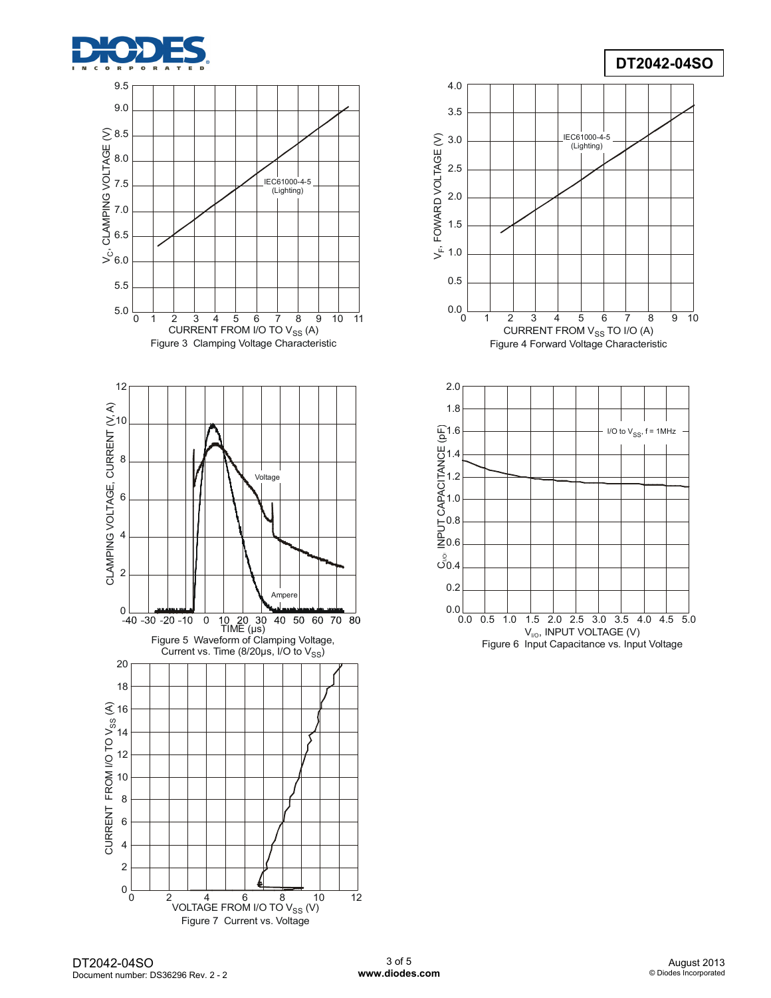

## **DT2042-04SO**





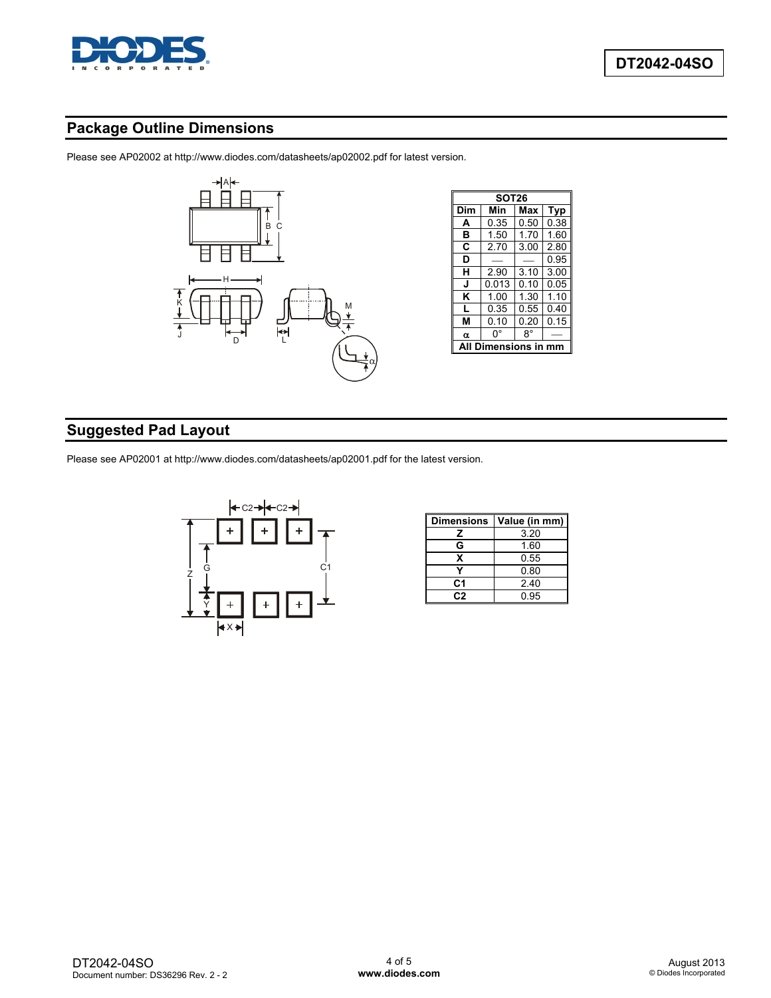

## **Package Outline Dimensions**

Please see AP02002 at http://www.diodes.com/datasheets/ap02002.pdf for latest version.



|     | SOT26        |      |      |  |  |  |  |  |
|-----|--------------|------|------|--|--|--|--|--|
| Dim | Min          | Max  | Typ  |  |  |  |  |  |
| A   | 0.35         | 0.50 | 0.38 |  |  |  |  |  |
| в   | 1.50         | 1.70 | 1.60 |  |  |  |  |  |
| C   | 2.70         | 3.00 | 2.80 |  |  |  |  |  |
| D   |              |      | 0.95 |  |  |  |  |  |
| н   | 2.90         |      | 3.00 |  |  |  |  |  |
| J   | 0.013        | 0.10 | 0.05 |  |  |  |  |  |
| Κ   | 1.00         | 1.30 | 1.10 |  |  |  |  |  |
|     | 0.35         | 0.55 | 0.40 |  |  |  |  |  |
| м   | 0.10         |      | 0.15 |  |  |  |  |  |
| α   | 0°           |      |      |  |  |  |  |  |
|     | Dimensions i |      |      |  |  |  |  |  |

# **Suggested Pad Layout**

Please see AP02001 at http://www.diodes.com/datasheets/ap02001.pdf for the latest version.



| <b>Dimensions</b> | Value (in mm) |  |  |  |
|-------------------|---------------|--|--|--|
| z                 | 3.20          |  |  |  |
| G                 | 1.60          |  |  |  |
| x                 | 0.55          |  |  |  |
|                   | 0.80          |  |  |  |
| C <sub>1</sub>    | 2.40          |  |  |  |
| C.S               | 0.95          |  |  |  |